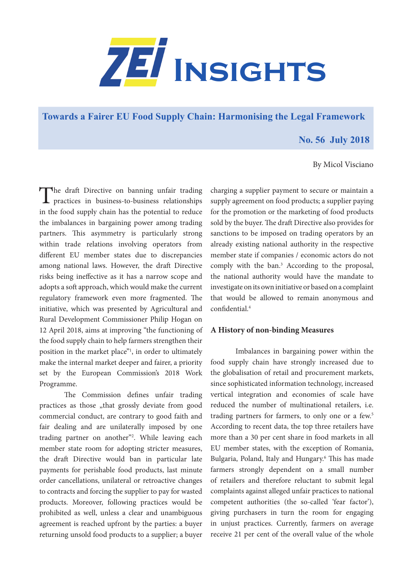

**[Towards a Fairer EU Food Supply Chain: Harmonising the Legal Framework](https://www.zei.uni-bonn.de/publications/zei-insights)**

# **No. 56 July 2018**

## By Micol Visciano

The draft Directive on banning unfair trading practices in business-to-business relationships in the food supply chain has the potential to reduce the imbalances in bargaining power among trading partners. This asymmetry is particularly strong within trade relations involving operators from different EU member states due to discrepancies among national laws. However, the draft Directive risks being ineffective as it has a narrow scope and adopts a soft approach, which would make the current regulatory framework even more fragmented. The initiative, which was presented by Agricultural and Rural Development Commissioner Philip Hogan on 12 April 2018, aims at improving "the functioning of the food supply chain to help farmers strengthen their position in the market place"<sup>1</sup>, in order to ultimately make the internal market deeper and fairer, a priority set by the European Commission's 2018 Work Programme.

The Commission defines unfair trading practices as those "that grossly deviate from good commercial conduct, are contrary to good faith and fair dealing and are unilaterally imposed by one trading partner on another"2 . While leaving each member state room for adopting stricter measures, the draft Directive would ban in particular late payments for perishable food products, last minute order cancellations, unilateral or retroactive changes to contracts and forcing the supplier to pay for wasted products. Moreover, following practices would be prohibited as well, unless a clear and unambiguous agreement is reached upfront by the parties: a buyer returning unsold food products to a supplier; a buyer

charging a supplier payment to secure or maintain a supply agreement on food products; a supplier paying for the promotion or the marketing of food products sold by the buyer. The draft Directive also provides for sanctions to be imposed on trading operators by an already existing national authority in the respective member state if companies / economic actors do not comply with the ban.<sup>3</sup> According to the proposal, the national authority would have the mandate to investigate on its own initiative or based on a complaint that would be allowed to remain anonymous and  $\frac{1}{4}$ 

## **A History of non-binding Measures**

Imbalances in bargaining power within the food supply chain have strongly increased due to the globalisation of retail and procurement markets, since sophisticated information technology, increased vertical integration and economies of scale have reduced the number of multinational retailers, i.e. trading partners for farmers, to only one or a few.<sup>5</sup> According to recent data, the top three retailers have more than a 30 per cent share in food markets in all EU member states, with the exception of Romania, Bulgaria, Poland, Italy and Hungary.<sup>6</sup> This has made farmers strongly dependent on a small number of retailers and therefore reluctant to submit legal complaints against alleged unfair practices to national competent authorities (the so-called 'fear factor'), giving purchasers in turn the room for engaging in unjust practices. Currently, farmers on average receive 21 per cent of the overall value of the whole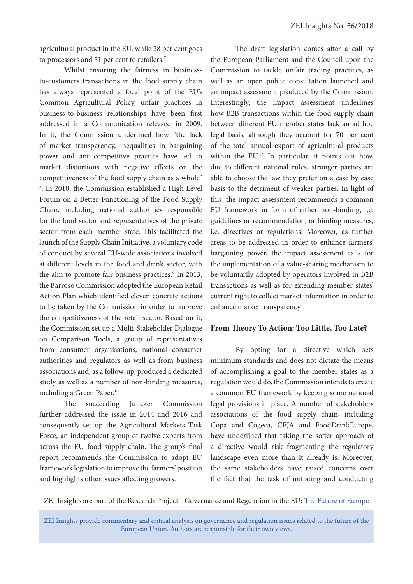agricultural product in the EU, while 28 per cent goes to processors and 51 per cent to retailers.<sup>7</sup>

Whilst ensuring the fairness in businessto-customers transactions in the food supply chain has always represented a focal point of the EU's Common Agricultural Policy, unfair practices in business-to-business relationships have been first addressed in a Communication released in 2009. In it, the Commission underlined how "the lack of market transparency, inequalities in bargaining power and anti-competitive practice have led to market distortions with negative effects on the competitiveness of the food supply chain as a whole" 8 . In 2010, the Commission established a High Level Forum on a Better Functioning of the Food Supply Chain, including national authorities responsible for the food sector and representatives of the private sector from each member state. This facilitated the launch of the Supply Chain Initiative, a voluntary code of conduct by several EU-wide associations involved at different levels in the food and drink sector, with the aim to promote fair business practices.<sup>9</sup> In 2013, the Barroso Commission adopted the European Retail Action Plan which identified eleven concrete actions to be taken by the Commission in order to improve the competitiveness of the retail sector. Based on it, the Commission set up a Multi-Stakeholder Dialogue on Comparison Tools, a group of representatives from consumer organisations, national consumer authorities and regulators as well as from business associations and, as a follow-up, produced a dedicated study as well as a number of non-binding measures, including a Green Paper.<sup>10</sup>

The succeeding Juncker Commission further addressed the issue in 2014 and 2016 and consequently set up the Agricultural Markets Task Force, an independent group of twelve experts from across the EU food supply chain. The group's final report recommends the Commission to adopt EU framework legislation to improve the farmers' position and highlights other issues affecting growers.<sup>11</sup>

The draft legislation comes after a call by the European Parliament and the Council upon the Commission to tackle unfair trading practices, as well as an open public consultation launched and an impact assessment produced by the Commission. Interestingly, the impact assessment underlines how B2B transactions within the food supply chain between different EU member states lack an ad hoc legal basis, although they account for 70 per cent of the total annual export of agricultural products within the EU.<sup>12</sup> In particular, it points out how, due to different national rules, stronger parties are able to choose the law they prefer on a case by case basis to the detriment of weaker parties. In light of this, the impact assessment recommends a common EU framework in form of either non-binding, i.e. guidelines or recommendation, or binding measures, i.e. directives or regulations. Moreover, as further areas to be addressed in order to enhance farmers' bargaining power, the impact assessment calls for the implementation of a value-sharing mechanism to be voluntarily adopted by operators involved in B2B transactions as well as for extending member states' current right to collect market information in order to enhance market transparency.

#### **From Theory To Action: Too Little, Too Late?**

By opting for a directive which sets minimum standards and does not dictate the means of accomplishing a goal to the member states as a regulation would do, the Commission intends to create a common EU framework by keeping some national legal provisions in place. A number of stakeholders associations of the food supply chain, including Copa and Cogeca, CEJA and FoodDrinkEurope, have underlined that taking the softer approach of a directive would risk fragmenting the regulatory landscape even more than it already is. Moreover, the same stakeholders have raised concerns over the fact that the task of initiating and conducting

ZEI Insights are part of the Research Project - Governance and Regulation in the EU: [The Future of Europe](https://www.zei.uni-bonn.de/research/governance-and-regulation?set_language=en)

ZEI Insights provide commentary and critical analysis on governance and regulation issues related to the future of the European Union. Authors are responsible for their own views.